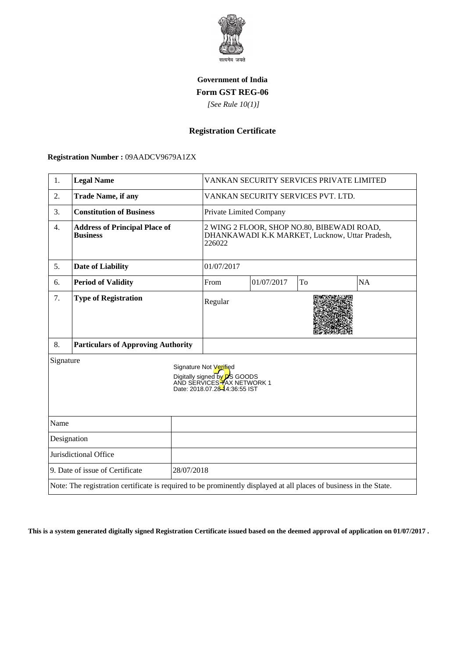

## **Government of India Form GST REG-06**

 *[See Rule 10(1)]*

## **Registration Certificate**

 **Registration Number :** 09AADCV9679A1ZX

| 1.                                                                                                                                         | <b>Legal Name</b>                                       |                                                                                                        | VANKAN SECURITY SERVICES PRIVATE LIMITED |            |    |           |
|--------------------------------------------------------------------------------------------------------------------------------------------|---------------------------------------------------------|--------------------------------------------------------------------------------------------------------|------------------------------------------|------------|----|-----------|
| 2.                                                                                                                                         | <b>Trade Name, if any</b>                               |                                                                                                        | VANKAN SECURITY SERVICES PVT. LTD.       |            |    |           |
| 3.                                                                                                                                         | <b>Constitution of Business</b>                         | Private Limited Company                                                                                |                                          |            |    |           |
| $\overline{4}$ .                                                                                                                           | <b>Address of Principal Place of</b><br><b>Business</b> | 2 WING 2 FLOOR, SHOP NO.80, BIBEWADI ROAD,<br>DHANKAWADI K.K MARKET, Lucknow, Uttar Pradesh,<br>226022 |                                          |            |    |           |
| 5.                                                                                                                                         | <b>Date of Liability</b>                                |                                                                                                        | 01/07/2017                               |            |    |           |
| 6.                                                                                                                                         | <b>Period of Validity</b>                               |                                                                                                        | From                                     | 01/07/2017 | To | <b>NA</b> |
| 7.                                                                                                                                         | <b>Type of Registration</b>                             |                                                                                                        | Regular                                  |            |    |           |
| 8.                                                                                                                                         | <b>Particulars of Approving Authority</b>               |                                                                                                        |                                          |            |    |           |
| Signature<br>Signature Not Verified<br>Digitally signed by <b>D</b> S GOODS<br>AND SERVICES TAX NETWORK 1<br>Date: 2018.07.28-44:36:55 IST |                                                         |                                                                                                        |                                          |            |    |           |
| Name                                                                                                                                       |                                                         |                                                                                                        |                                          |            |    |           |
| Designation                                                                                                                                |                                                         |                                                                                                        |                                          |            |    |           |
| Jurisdictional Office                                                                                                                      |                                                         |                                                                                                        |                                          |            |    |           |
| 9. Date of issue of Certificate<br>28/07/2018                                                                                              |                                                         |                                                                                                        |                                          |            |    |           |
| Note: The registration certificate is required to be prominently displayed at all places of business in the State.                         |                                                         |                                                                                                        |                                          |            |    |           |

**This is a system generated digitally signed Registration Certificate issued based on the deemed approval of application on 01/07/2017 .**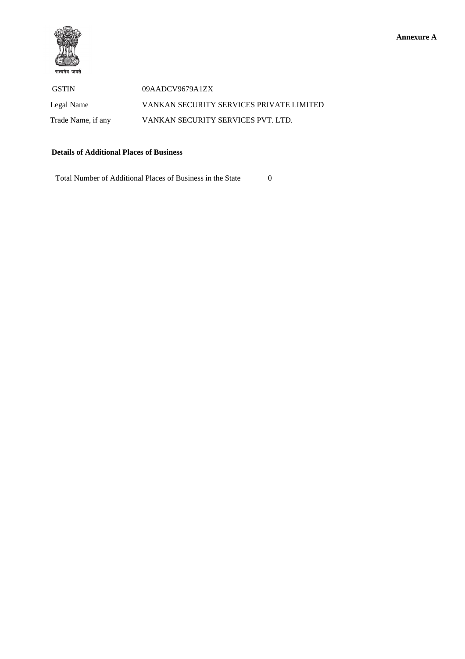

 GSTIN 09AADCV9679A1ZX Legal Name VANKAN SECURITY SERVICES PRIVATE LIMITED Trade Name, if any VANKAN SECURITY SERVICES PVT. LTD.

## **Details of Additional Places of Business**

Total Number of Additional Places of Business in the State 0